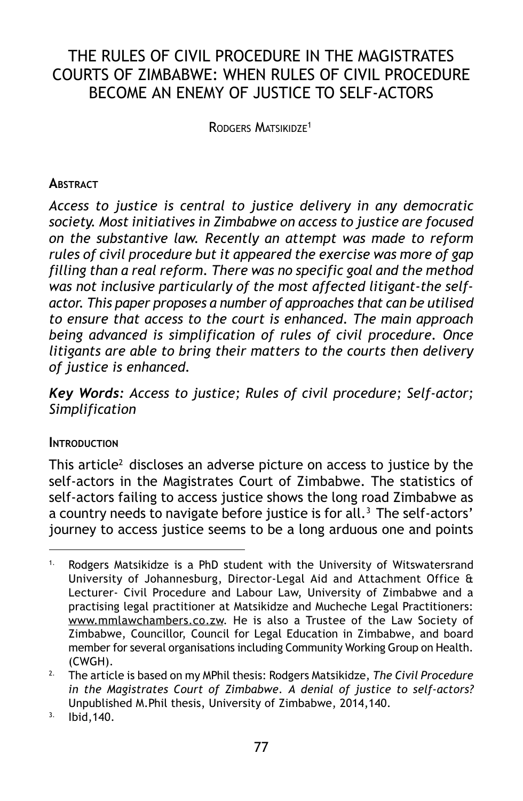## THE RULES OF CIVIL PROCEDURE IN THE MAGISTRATES COURTS OF ZIMBABWE: WHEN RULES OF CIVIL PROCEDURE BECOME AN ENEMY OF JUSTICE TO SELF-ACTORS

RODGERS MATSIKIDZE<sup>1</sup>

#### **ABSTRACT**

*Access to justice is central to justice delivery in any democratic society. Most initiatives in Zimbabwe on access to justice are focused on the substantive law. Recently an attempt was made to reform rules of civil procedure but it appeared the exercise was more of gap filling than a real reform. There was no specific goal and the method was not inclusive particularly of the most affected litigant-the selfactor. This paper proposes a number of approaches that can be utilised to ensure that access to the court is enhanced. The main approach being advanced is simplification of rules of civil procedure. Once litigants are able to bring their matters to the courts then delivery of justice is enhanced.*

*Key Words: Access to justice; Rules of civil procedure; Self-actor; Simplification*

#### **INTRODUCTION**

This article<sup>2</sup> discloses an adverse picture on access to justice by the self-actors in the Magistrates Court of Zimbabwe. The statistics of self-actors failing to access justice shows the long road Zimbabwe as a country needs to navigate before justice is for all.<sup>3</sup> The self-actors' journey to access justice seems to be a long arduous one and points

<sup>1.</sup> Rodgers Matsikidze is a PhD student with the University of Witswatersrand University of Johannesburg, Director-Legal Aid and Attachment Office & Lecturer- Civil Procedure and Labour Law, University of Zimbabwe and a practising legal practitioner at Matsikidze and Mucheche Legal Practitioners: www.mmlawchambers.co.zw. He is also a Trustee of the Law Society of Zimbabwe, Councillor, Council for Legal Education in Zimbabwe, and board member for several organisations including Community Working Group on Health. (CWGH).

<sup>2.</sup> The article is based on my MPhil thesis: Rodgers Matsikidze, *The Civil Procedure in the Magistrates Court of Zimbabwe. A denial of justice to self-actors?* Unpublished M.Phil thesis, University of Zimbabwe, 2014,140.

<sup>3.</sup> Ibid,140.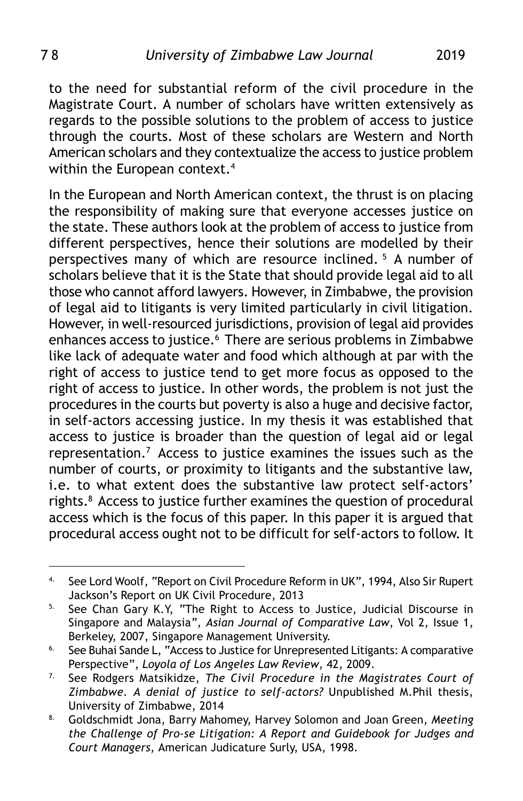to the need for substantial reform of the civil procedure in the Magistrate Court. A number of scholars have written extensively as regards to the possible solutions to the problem of access to justice through the courts. Most of these scholars are Western and North American scholars and they contextualize the access to justice problem within the European context.<sup>4</sup>

In the European and North American context, the thrust is on placing the responsibility of making sure that everyone accesses justice on the state. These authors look at the problem of access to justice from different perspectives, hence their solutions are modelled by their perspectives many of which are resource inclined. 5 A number of scholars believe that it is the State that should provide legal aid to all those who cannot afford lawyers. However, in Zimbabwe, the provision of legal aid to litigants is very limited particularly in civil litigation. However, in well-resourced jurisdictions, provision of legal aid provides enhances access to justice.<sup>6</sup> There are serious problems in Zimbabwe like lack of adequate water and food which although at par with the right of access to justice tend to get more focus as opposed to the right of access to justice. In other words, the problem is not just the procedures in the courts but poverty is also a huge and decisive factor, in self-actors accessing justice. In my thesis it was established that access to justice is broader than the question of legal aid or legal representation.7 Access to justice examines the issues such as the number of courts, or proximity to litigants and the substantive law, i.e. to what extent does the substantive law protect self-actors' rights.<sup>8</sup> Access to justice further examines the question of procedural access which is the focus of this paper. In this paper it is argued that procedural access ought not to be difficult for self-actors to follow. It

<sup>&</sup>lt;sup>4.</sup> See Lord Woolf, "Report on Civil Procedure Reform in UK", 1994, Also Sir Rupert Jackson's Report on UK Civil Procedure, 2013

<sup>&</sup>lt;sup>5.</sup> See Chan Gary K.Y, "The Right to Access to Justice, Judicial Discourse in Singapore and Malaysia*", Asian Journal of Comparative Law*, Vol 2, Issue 1, Berkeley, 2007, Singapore Management University.

<sup>&</sup>lt;sup>6.</sup> See Buhai Sande L, "Access to Justice for Unrepresented Litigants: A comparative Perspective", *Loyola of Los Angeles Law Review*, 42, 2009.

<sup>7.</sup> See Rodgers Matsikidze, *The Civil Procedure in the Magistrates Court of Zimbabwe. A denial of justice to self-actors?* Unpublished M.Phil thesis, University of Zimbabwe, 2014

<sup>8.</sup> Goldschmidt Jona, Barry Mahomey, Harvey Solomon and Joan Green, *Meeting the Challenge of Pro-se Litigation: A Report and Guidebook for Judges and Court Managers*, American Judicature Surly, USA, 1998.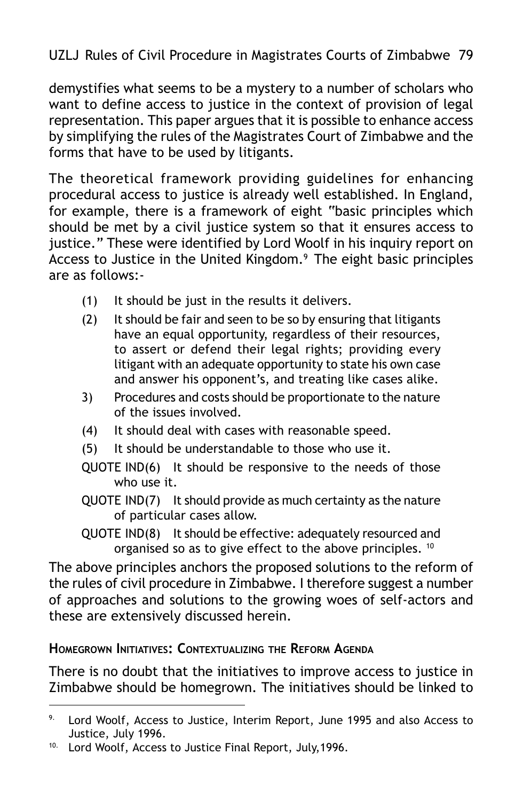demystifies what seems to be a mystery to a number of scholars who want to define access to justice in the context of provision of legal representation. This paper argues that it is possible to enhance access by simplifying the rules of the Magistrates Court of Zimbabwe and the forms that have to be used by litigants.

The theoretical framework providing guidelines for enhancing procedural access to justice is already well established. In England, for example, there is a framework of eight "basic principles which should be met by a civil justice system so that it ensures access to justice." These were identified by Lord Woolf in his inquiry report on Access to Justice in the United Kingdom.9 The eight basic principles are as follows:-

- (1) It should be just in the results it delivers.
- (2) It should be fair and seen to be so by ensuring that litigants have an equal opportunity, regardless of their resources, to assert or defend their legal rights; providing every litigant with an adequate opportunity to state his own case and answer his opponent's, and treating like cases alike.
- 3) Procedures and costs should be proportionate to the nature of the issues involved.
- (4) It should deal with cases with reasonable speed.
- (5) It should be understandable to those who use it.
- QUOTE IND(6) It should be responsive to the needs of those who use it.
- QUOTE IND(7) It should provide as much certainty as the nature of particular cases allow.
- QUOTE IND(8) It should be effective: adequately resourced and organised so as to give effect to the above principles. 10

The above principles anchors the proposed solutions to the reform of the rules of civil procedure in Zimbabwe. I therefore suggest a number of approaches and solutions to the growing woes of self-actors and these are extensively discussed herein.

#### **HOMEGROWN INITIATIVES: CONTEXTUALIZING THE REFORM AGENDA**

There is no doubt that the initiatives to improve access to justice in Zimbabwe should be homegrown. The initiatives should be linked to

 $9.$  Lord Woolf, Access to Justice, Interim Report, June 1995 and also Access to Justice, July 1996.

<sup>&</sup>lt;sup>10.</sup> Lord Woolf, Access to Justice Final Report, July, 1996.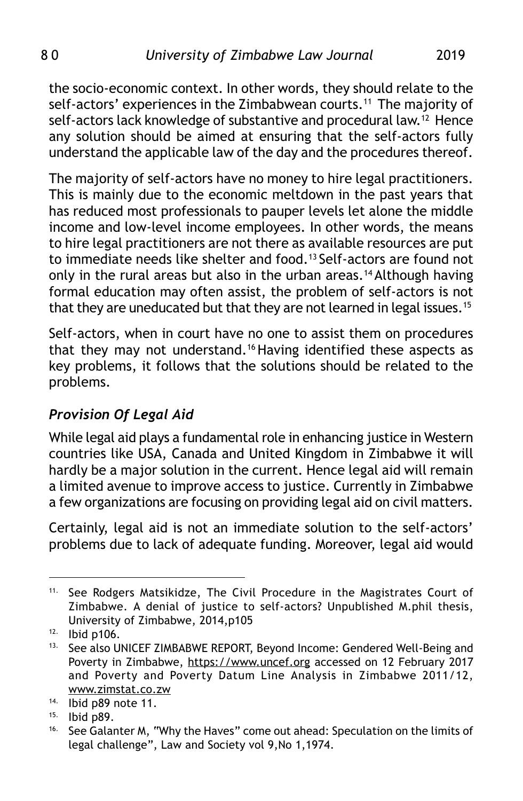the socio-economic context. In other words, they should relate to the self-actors' experiences in the Zimbabwean courts.<sup>11</sup> The majority of self-actors lack knowledge of substantive and procedural law.<sup>12</sup> Hence any solution should be aimed at ensuring that the self-actors fully understand the applicable law of the day and the procedures thereof.

The majority of self-actors have no money to hire legal practitioners. This is mainly due to the economic meltdown in the past years that has reduced most professionals to pauper levels let alone the middle income and low-level income employees. In other words, the means to hire legal practitioners are not there as available resources are put to immediate needs like shelter and food.<sup>13</sup> Self-actors are found not only in the rural areas but also in the urban areas.<sup>14</sup> Although having formal education may often assist, the problem of self-actors is not that they are uneducated but that they are not learned in legal issues.<sup>15</sup>

Self-actors, when in court have no one to assist them on procedures that they may not understand.<sup>16</sup> Having identified these aspects as key problems, it follows that the solutions should be related to the problems.

## *Provision Of Legal Aid*

While legal aid plays a fundamental role in enhancing justice in Western countries like USA, Canada and United Kingdom in Zimbabwe it will hardly be a major solution in the current. Hence legal aid will remain a limited avenue to improve access to justice. Currently in Zimbabwe a few organizations are focusing on providing legal aid on civil matters.

Certainly, legal aid is not an immediate solution to the self-actors' problems due to lack of adequate funding. Moreover, legal aid would

<sup>&</sup>lt;sup>11.</sup> See Rodgers Matsikidze, The Civil Procedure in the Magistrates Court of Zimbabwe. A denial of justice to self-actors? Unpublished M.phil thesis, University of Zimbabwe, 2014,p105

<sup>&</sup>lt;sup>12.</sup> Ibid p106.<br><sup>13.</sup> See also II

See also UNICEF ZIMBABWE REPORT, Beyond Income: Gendered Well-Being and Poverty in Zimbabwe, https://www.uncef.org accessed on 12 February 2017 and Poverty and Poverty Datum Line Analysis in Zimbabwe 2011/12, www.zimstat.co.zw

<sup>14.</sup> Ibid p89 note 11.

<sup>15.</sup> Ibid p89.

<sup>&</sup>lt;sup>16.</sup> See Galanter M, "Why the Haves" come out ahead: Speculation on the limits of legal challenge", Law and Society vol 9,No 1,1974.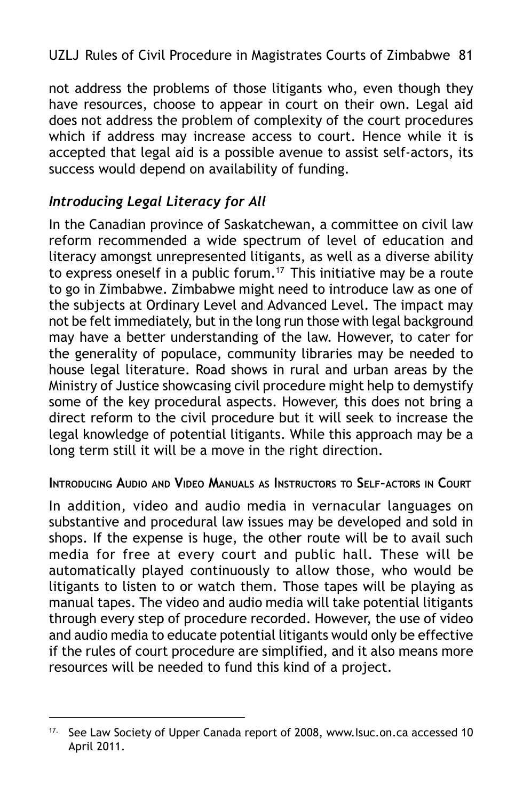not address the problems of those litigants who, even though they have resources, choose to appear in court on their own. Legal aid does not address the problem of complexity of the court procedures which if address may increase access to court. Hence while it is accepted that legal aid is a possible avenue to assist self-actors, its success would depend on availability of funding.

## *Introducing Legal Literacy for All*

In the Canadian province of Saskatchewan, a committee on civil law reform recommended a wide spectrum of level of education and literacy amongst unrepresented litigants, as well as a diverse ability to express oneself in a public forum.<sup>17</sup> This initiative may be a route to go in Zimbabwe. Zimbabwe might need to introduce law as one of the subjects at Ordinary Level and Advanced Level. The impact may not be felt immediately, but in the long run those with legal background may have a better understanding of the law. However, to cater for the generality of populace, community libraries may be needed to house legal literature. Road shows in rural and urban areas by the Ministry of Justice showcasing civil procedure might help to demystify some of the key procedural aspects. However, this does not bring a direct reform to the civil procedure but it will seek to increase the legal knowledge of potential litigants. While this approach may be a long term still it will be a move in the right direction.

### **INTRODUCING AUDIO AND VIDEO MANUALS AS INSTRUCTORS TO SELF-ACTORS IN COURT**

In addition, video and audio media in vernacular languages on substantive and procedural law issues may be developed and sold in shops. If the expense is huge, the other route will be to avail such media for free at every court and public hall. These will be automatically played continuously to allow those, who would be litigants to listen to or watch them. Those tapes will be playing as manual tapes. The video and audio media will take potential litigants through every step of procedure recorded. However, the use of video and audio media to educate potential litigants would only be effective if the rules of court procedure are simplified, and it also means more resources will be needed to fund this kind of a project.

<sup>17.</sup> See Law Society of Upper Canada report of 2008, www.Isuc.on.ca accessed 10 April 2011.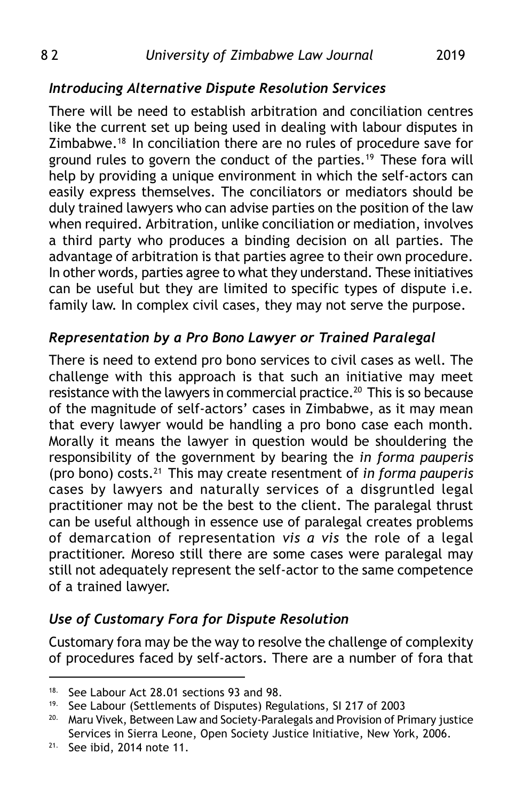## *Introducing Alternative Dispute Resolution Services*

There will be need to establish arbitration and conciliation centres like the current set up being used in dealing with labour disputes in Zimbabwe.18 In conciliation there are no rules of procedure save for ground rules to govern the conduct of the parties.<sup>19</sup> These fora will help by providing a unique environment in which the self-actors can easily express themselves. The conciliators or mediators should be duly trained lawyers who can advise parties on the position of the law when required. Arbitration, unlike conciliation or mediation, involves a third party who produces a binding decision on all parties. The advantage of arbitration is that parties agree to their own procedure. In other words, parties agree to what they understand. These initiatives can be useful but they are limited to specific types of dispute i.e. family law. In complex civil cases, they may not serve the purpose.

### *Representation by a Pro Bono Lawyer or Trained Paralegal*

There is need to extend pro bono services to civil cases as well. The challenge with this approach is that such an initiative may meet resistance with the lawyers in commercial practice.<sup>20</sup> This is so because of the magnitude of self-actors' cases in Zimbabwe, as it may mean that every lawyer would be handling a pro bono case each month. Morally it means the lawyer in question would be shouldering the responsibility of the government by bearing the *in forma pauperis* (pro bono) costs.21 This may create resentment of *in forma pauperis* cases by lawyers and naturally services of a disgruntled legal practitioner may not be the best to the client. The paralegal thrust can be useful although in essence use of paralegal creates problems of demarcation of representation *vis a vis* the role of a legal practitioner. Moreso still there are some cases were paralegal may still not adequately represent the self-actor to the same competence of a trained lawyer.

## *Use of Customary Fora for Dispute Resolution*

Customary fora may be the way to resolve the challenge of complexity of procedures faced by self-actors. There are a number of fora that

<sup>18.</sup> See Labour Act 28.01 sections 93 and 98.

<sup>&</sup>lt;sup>19.</sup> See Labour (Settlements of Disputes) Regulations, SI 217 of 2003

<sup>&</sup>lt;sup>20.</sup> Maru Vivek, Between Law and Society-Paralegals and Provision of Primary justice Services in Sierra Leone, Open Society Justice Initiative, New York, 2006.

 $21.$  See ibid, 2014 note 11.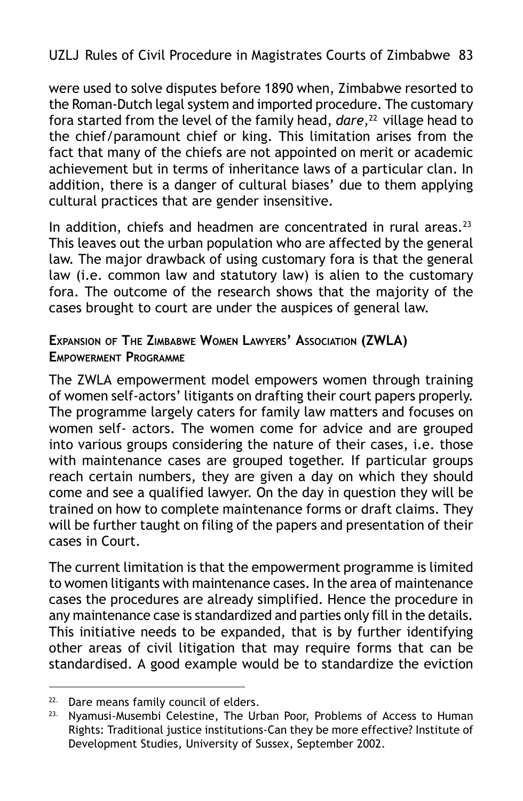were used to solve disputes before 1890 when, Zimbabwe resorted to the Roman-Dutch legal system and imported procedure. The customary fora started from the level of the family head, *dare,*<sup>22</sup> village head to the chief/paramount chief or king. This limitation arises from the fact that many of the chiefs are not appointed on merit or academic achievement but in terms of inheritance laws of a particular clan. In addition, there is a danger of cultural biases' due to them applying cultural practices that are gender insensitive.

In addition, chiefs and headmen are concentrated in rural areas. $23$ This leaves out the urban population who are affected by the general law. The major drawback of using customary fora is that the general law (i.e. common law and statutory law) is alien to the customary fora. The outcome of the research shows that the majority of the cases brought to court are under the auspices of general law.

### **EXPANSION OF THE ZIMBABWE WOMEN LAWYERS' ASSOCIATION (ZWLA) EMPOWERMENT PROGRAMME**

The ZWLA empowerment model empowers women through training of women self-actors' litigants on drafting their court papers properly. The programme largely caters for family law matters and focuses on women self- actors. The women come for advice and are grouped into various groups considering the nature of their cases, i.e. those with maintenance cases are grouped together. If particular groups reach certain numbers, they are given a day on which they should come and see a qualified lawyer. On the day in question they will be trained on how to complete maintenance forms or draft claims. They will be further taught on filing of the papers and presentation of their cases in Court.

The current limitation is that the empowerment programme is limited to women litigants with maintenance cases. In the area of maintenance cases the procedures are already simplified. Hence the procedure in any maintenance case is standardized and parties only fill in the details. This initiative needs to be expanded, that is by further identifying other areas of civil litigation that may require forms that can be standardised. A good example would be to standardize the eviction

<sup>&</sup>lt;sup>22.</sup> Dare means family council of elders.

<sup>&</sup>lt;sup>23.</sup> Nyamusi-Musembi Celestine, The Urban Poor, Problems of Access to Human Rights: Traditional justice institutions-Can they be more effective? Institute of Development Studies, University of Sussex, September 2002.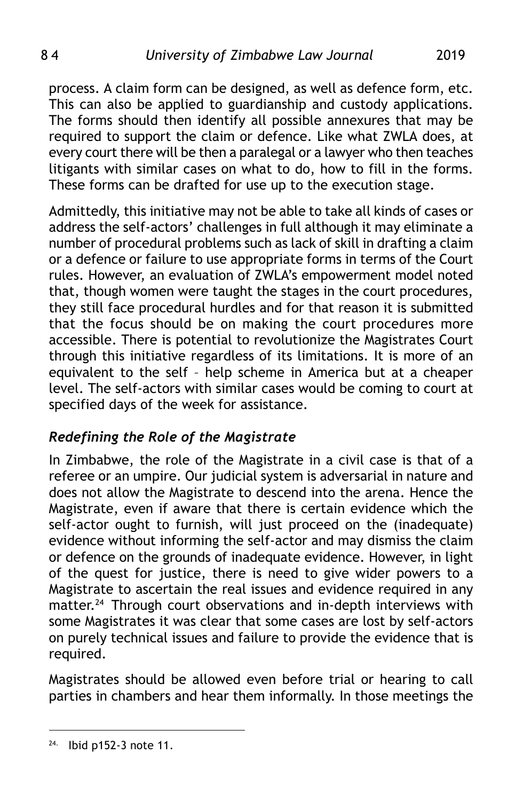process. A claim form can be designed, as well as defence form, etc. This can also be applied to guardianship and custody applications. The forms should then identify all possible annexures that may be required to support the claim or defence. Like what ZWLA does, at every court there will be then a paralegal or a lawyer who then teaches litigants with similar cases on what to do, how to fill in the forms. These forms can be drafted for use up to the execution stage.

Admittedly, this initiative may not be able to take all kinds of cases or address the self-actors' challenges in full although it may eliminate a number of procedural problems such as lack of skill in drafting a claim or a defence or failure to use appropriate forms in terms of the Court rules. However, an evaluation of ZWLA's empowerment model noted that, though women were taught the stages in the court procedures, they still face procedural hurdles and for that reason it is submitted that the focus should be on making the court procedures more accessible. There is potential to revolutionize the Magistrates Court through this initiative regardless of its limitations. It is more of an equivalent to the self – help scheme in America but at a cheaper level. The self-actors with similar cases would be coming to court at specified days of the week for assistance.

## *Redefining the Role of the Magistrate*

In Zimbabwe, the role of the Magistrate in a civil case is that of a referee or an umpire. Our judicial system is adversarial in nature and does not allow the Magistrate to descend into the arena. Hence the Magistrate, even if aware that there is certain evidence which the self-actor ought to furnish, will just proceed on the (inadequate) evidence without informing the self-actor and may dismiss the claim or defence on the grounds of inadequate evidence. However, in light of the quest for justice, there is need to give wider powers to a Magistrate to ascertain the real issues and evidence required in any matter.<sup>24</sup> Through court observations and in-depth interviews with some Magistrates it was clear that some cases are lost by self-actors on purely technical issues and failure to provide the evidence that is required.

Magistrates should be allowed even before trial or hearing to call parties in chambers and hear them informally. In those meetings the

<sup>24.</sup> Ibid p152-3 note 11.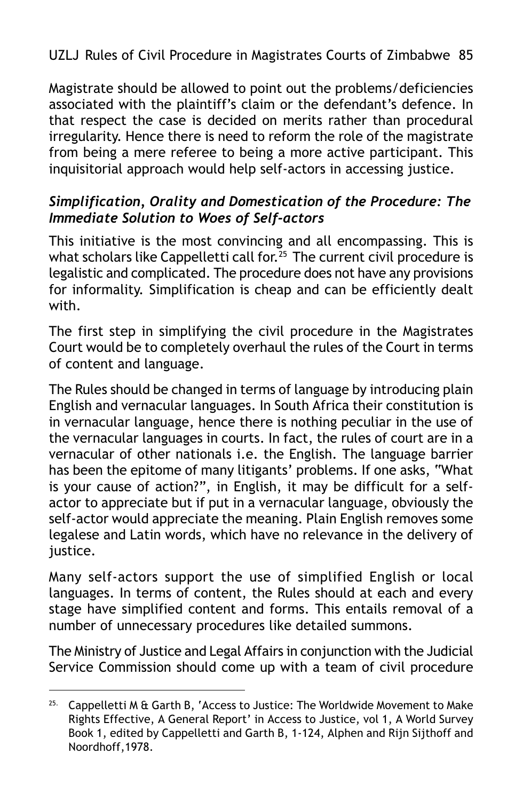Magistrate should be allowed to point out the problems/deficiencies associated with the plaintiff's claim or the defendant's defence. In that respect the case is decided on merits rather than procedural irregularity. Hence there is need to reform the role of the magistrate from being a mere referee to being a more active participant. This inquisitorial approach would help self-actors in accessing justice.

## *Simplification, Orality and Domestication of the Procedure: The Immediate Solution to Woes of Self-actors*

This initiative is the most convincing and all encompassing. This is what scholars like Cappelletti call for.<sup>25</sup> The current civil procedure is legalistic and complicated. The procedure does not have any provisions for informality. Simplification is cheap and can be efficiently dealt with.

The first step in simplifying the civil procedure in the Magistrates Court would be to completely overhaul the rules of the Court in terms of content and language.

The Rules should be changed in terms of language by introducing plain English and vernacular languages. In South Africa their constitution is in vernacular language, hence there is nothing peculiar in the use of the vernacular languages in courts. In fact, the rules of court are in a vernacular of other nationals i.e. the English. The language barrier has been the epitome of many litigants' problems. If one asks, "What is your cause of action?", in English, it may be difficult for a selfactor to appreciate but if put in a vernacular language, obviously the self-actor would appreciate the meaning. Plain English removes some legalese and Latin words, which have no relevance in the delivery of justice.

Many self-actors support the use of simplified English or local languages. In terms of content, the Rules should at each and every stage have simplified content and forms. This entails removal of a number of unnecessary procedures like detailed summons.

The Ministry of Justice and Legal Affairs in conjunction with the Judicial Service Commission should come up with a team of civil procedure

 $25.$  Cappelletti M & Garth B, 'Access to Justice: The Worldwide Movement to Make Rights Effective, A General Report' in Access to Justice, vol 1, A World Survey Book 1, edited by Cappelletti and Garth B, 1-124, Alphen and Rijn Sijthoff and Noordhoff,1978.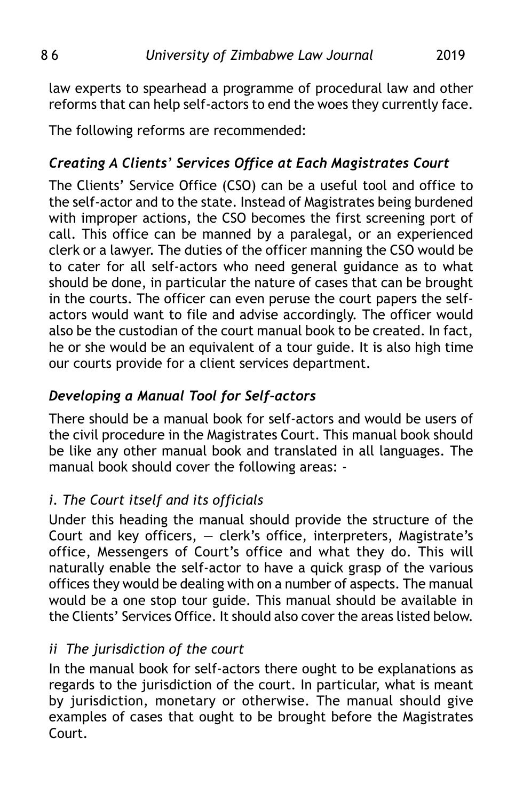law experts to spearhead a programme of procedural law and other reforms that can help self-actors to end the woes they currently face.

The following reforms are recommended:

# *Creating A Clients' Services Office at Each Magistrates Court*

The Clients' Service Office (CSO) can be a useful tool and office to the self-actor and to the state. Instead of Magistrates being burdened with improper actions, the CSO becomes the first screening port of call. This office can be manned by a paralegal, or an experienced clerk or a lawyer. The duties of the officer manning the CSO would be to cater for all self-actors who need general guidance as to what should be done, in particular the nature of cases that can be brought in the courts. The officer can even peruse the court papers the selfactors would want to file and advise accordingly. The officer would also be the custodian of the court manual book to be created. In fact, he or she would be an equivalent of a tour guide. It is also high time our courts provide for a client services department.

# *Developing a Manual Tool for Self-actors*

There should be a manual book for self-actors and would be users of the civil procedure in the Magistrates Court. This manual book should be like any other manual book and translated in all languages. The manual book should cover the following areas: -

# *i. The Court itself and its officials*

Under this heading the manual should provide the structure of the Court and key officers, — clerk's office, interpreters, Magistrate's office, Messengers of Court's office and what they do. This will naturally enable the self-actor to have a quick grasp of the various offices they would be dealing with on a number of aspects. The manual would be a one stop tour guide. This manual should be available in the Clients' Services Office. It should also cover the areas listed below.

## *ii The jurisdiction of the court*

In the manual book for self-actors there ought to be explanations as regards to the jurisdiction of the court. In particular, what is meant by jurisdiction, monetary or otherwise. The manual should give examples of cases that ought to be brought before the Magistrates Court.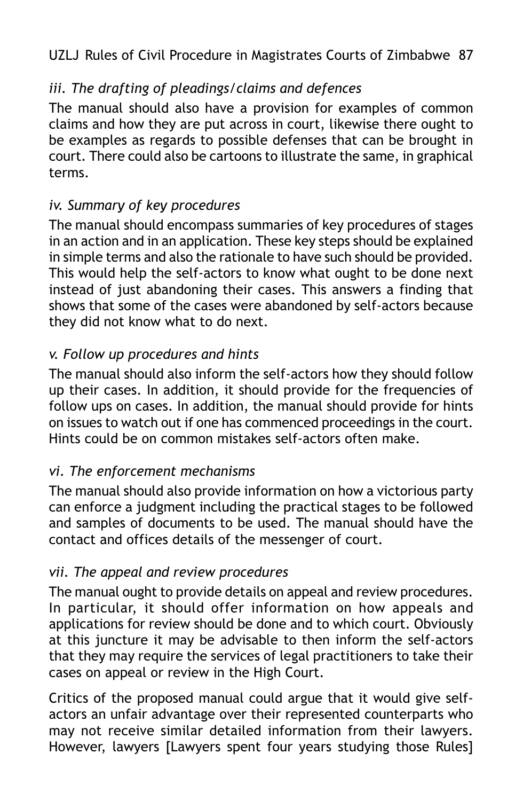## *iii. The drafting of pleadings/claims and defences*

The manual should also have a provision for examples of common claims and how they are put across in court, likewise there ought to be examples as regards to possible defenses that can be brought in court. There could also be cartoons to illustrate the same, in graphical terms.

## *iv. Summary of key procedures*

The manual should encompass summaries of key procedures of stages in an action and in an application. These key steps should be explained in simple terms and also the rationale to have such should be provided. This would help the self-actors to know what ought to be done next instead of just abandoning their cases. This answers a finding that shows that some of the cases were abandoned by self-actors because they did not know what to do next.

## *v. Follow up procedures and hints*

The manual should also inform the self-actors how they should follow up their cases. In addition, it should provide for the frequencies of follow ups on cases. In addition, the manual should provide for hints on issues to watch out if one has commenced proceedings in the court. Hints could be on common mistakes self-actors often make.

## *vi. The enforcement mechanisms*

The manual should also provide information on how a victorious party can enforce a judgment including the practical stages to be followed and samples of documents to be used. The manual should have the contact and offices details of the messenger of court.

## *vii. The appeal and review procedures*

The manual ought to provide details on appeal and review procedures. In particular, it should offer information on how appeals and applications for review should be done and to which court. Obviously at this juncture it may be advisable to then inform the self-actors that they may require the services of legal practitioners to take their cases on appeal or review in the High Court.

Critics of the proposed manual could argue that it would give selfactors an unfair advantage over their represented counterparts who may not receive similar detailed information from their lawyers. However, lawyers [Lawyers spent four years studying those Rules]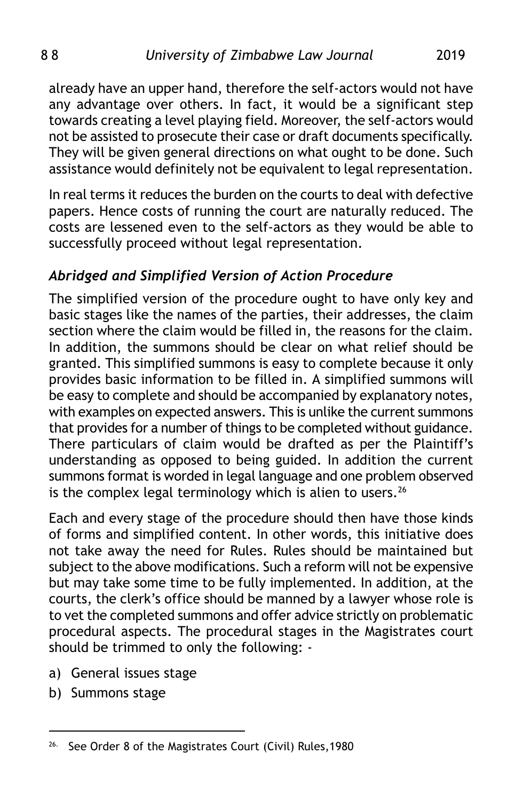already have an upper hand, therefore the self-actors would not have any advantage over others. In fact, it would be a significant step towards creating a level playing field. Moreover, the self-actors would not be assisted to prosecute their case or draft documents specifically. They will be given general directions on what ought to be done. Such assistance would definitely not be equivalent to legal representation.

In real terms it reduces the burden on the courts to deal with defective papers. Hence costs of running the court are naturally reduced. The costs are lessened even to the self-actors as they would be able to successfully proceed without legal representation.

## *Abridged and Simplified Version of Action Procedure*

The simplified version of the procedure ought to have only key and basic stages like the names of the parties, their addresses, the claim section where the claim would be filled in, the reasons for the claim. In addition, the summons should be clear on what relief should be granted. This simplified summons is easy to complete because it only provides basic information to be filled in. A simplified summons will be easy to complete and should be accompanied by explanatory notes, with examples on expected answers. This is unlike the current summons that provides for a number of things to be completed without guidance. There particulars of claim would be drafted as per the Plaintiff's understanding as opposed to being guided. In addition the current summons format is worded in legal language and one problem observed is the complex legal terminology which is alien to users.<sup>26</sup>

Each and every stage of the procedure should then have those kinds of forms and simplified content. In other words, this initiative does not take away the need for Rules. Rules should be maintained but subject to the above modifications. Such a reform will not be expensive but may take some time to be fully implemented. In addition, at the courts, the clerk's office should be manned by a lawyer whose role is to vet the completed summons and offer advice strictly on problematic procedural aspects. The procedural stages in the Magistrates court should be trimmed to only the following: -

- a) General issues stage
- b) Summons stage

<sup>&</sup>lt;sup>26.</sup> See Order 8 of the Magistrates Court (Civil) Rules, 1980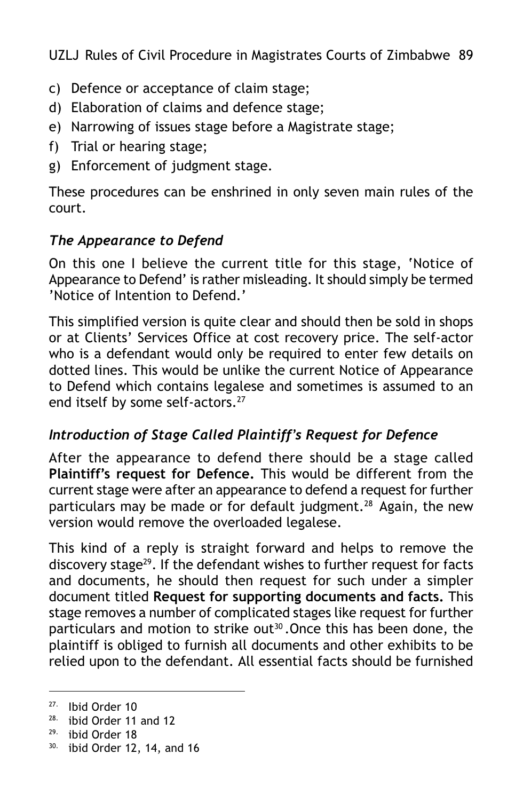- c) Defence or acceptance of claim stage;
- d) Elaboration of claims and defence stage;
- e) Narrowing of issues stage before a Magistrate stage;
- f) Trial or hearing stage;
- g) Enforcement of judgment stage.

These procedures can be enshrined in only seven main rules of the court.

## *The Appearance to Defend*

On this one I believe the current title for this stage, 'Notice of Appearance to Defend' is rather misleading. It should simply be termed 'Notice of Intention to Defend.'

This simplified version is quite clear and should then be sold in shops or at Clients' Services Office at cost recovery price. The self-actor who is a defendant would only be required to enter few details on dotted lines. This would be unlike the current Notice of Appearance to Defend which contains legalese and sometimes is assumed to an end itself by some self-actors.<sup>27</sup>

## *Introduction of Stage Called Plaintiff's Request for Defence*

After the appearance to defend there should be a stage called **Plaintiff's request for Defence.** This would be different from the current stage were after an appearance to defend a request for further particulars may be made or for default judgment.<sup>28</sup> Again, the new version would remove the overloaded legalese.

This kind of a reply is straight forward and helps to remove the discovery stage<sup>29</sup>. If the defendant wishes to further request for facts and documents, he should then request for such under a simpler document titled **Request for supporting documents and facts.** This stage removes a number of complicated stages like request for further particulars and motion to strike out<sup>30</sup>. Once this has been done, the plaintiff is obliged to furnish all documents and other exhibits to be relied upon to the defendant. All essential facts should be furnished

29. ibid Order 18

 $27.$  Ibid Order 10<br> $28.$  ibid Order 11

ibid Order 11 and 12

<sup>30.</sup> ibid Order 12, 14, and 16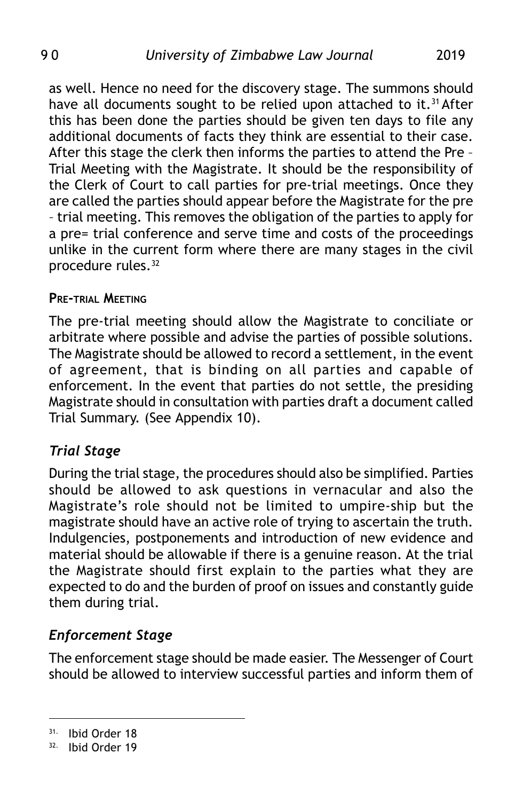as well. Hence no need for the discovery stage. The summons should have all documents sought to be relied upon attached to it.<sup>31</sup> After this has been done the parties should be given ten days to file any additional documents of facts they think are essential to their case. After this stage the clerk then informs the parties to attend the Pre – Trial Meeting with the Magistrate. It should be the responsibility of the Clerk of Court to call parties for pre-trial meetings. Once they are called the parties should appear before the Magistrate for the pre – trial meeting. This removes the obligation of the parties to apply for a pre= trial conference and serve time and costs of the proceedings unlike in the current form where there are many stages in the civil procedure rules.32

### **PRE-TRIAL MEETING**

The pre-trial meeting should allow the Magistrate to conciliate or arbitrate where possible and advise the parties of possible solutions. The Magistrate should be allowed to record a settlement, in the event of agreement, that is binding on all parties and capable of enforcement. In the event that parties do not settle, the presiding Magistrate should in consultation with parties draft a document called Trial Summary. (See Appendix 10).

### *Trial Stage*

During the trial stage, the procedures should also be simplified. Parties should be allowed to ask questions in vernacular and also the Magistrate's role should not be limited to umpire-ship but the magistrate should have an active role of trying to ascertain the truth. Indulgencies, postponements and introduction of new evidence and material should be allowable if there is a genuine reason. At the trial the Magistrate should first explain to the parties what they are expected to do and the burden of proof on issues and constantly guide them during trial.

### *Enforcement Stage*

The enforcement stage should be made easier. The Messenger of Court should be allowed to interview successful parties and inform them of

<sup>31.</sup> Ibid Order 18

<sup>32.</sup> Ibid Order 19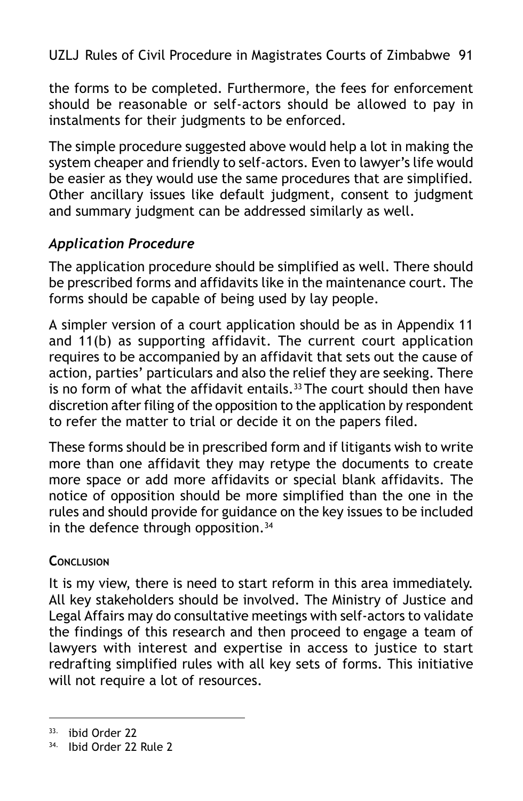the forms to be completed. Furthermore, the fees for enforcement should be reasonable or self-actors should be allowed to pay in instalments for their judgments to be enforced.

The simple procedure suggested above would help a lot in making the system cheaper and friendly to self-actors. Even to lawyer's life would be easier as they would use the same procedures that are simplified. Other ancillary issues like default judgment, consent to judgment and summary judgment can be addressed similarly as well.

## *Application Procedure*

The application procedure should be simplified as well. There should be prescribed forms and affidavits like in the maintenance court. The forms should be capable of being used by lay people.

A simpler version of a court application should be as in Appendix 11 and 11(b) as supporting affidavit. The current court application requires to be accompanied by an affidavit that sets out the cause of action, parties' particulars and also the relief they are seeking. There is no form of what the affidavit entails.<sup>33</sup> The court should then have discretion after filing of the opposition to the application by respondent to refer the matter to trial or decide it on the papers filed.

These forms should be in prescribed form and if litigants wish to write more than one affidavit they may retype the documents to create more space or add more affidavits or special blank affidavits. The notice of opposition should be more simplified than the one in the rules and should provide for guidance on the key issues to be included in the defence through opposition.<sup>34</sup>

## **CONCLUSION**

It is my view, there is need to start reform in this area immediately. All key stakeholders should be involved. The Ministry of Justice and Legal Affairs may do consultative meetings with self-actors to validate the findings of this research and then proceed to engage a team of lawyers with interest and expertise in access to justice to start redrafting simplified rules with all key sets of forms. This initiative will not require a lot of resources.

<sup>33.</sup> **ibid Order 22** 

<sup>34.</sup> Ibid Order 22 Rule 2